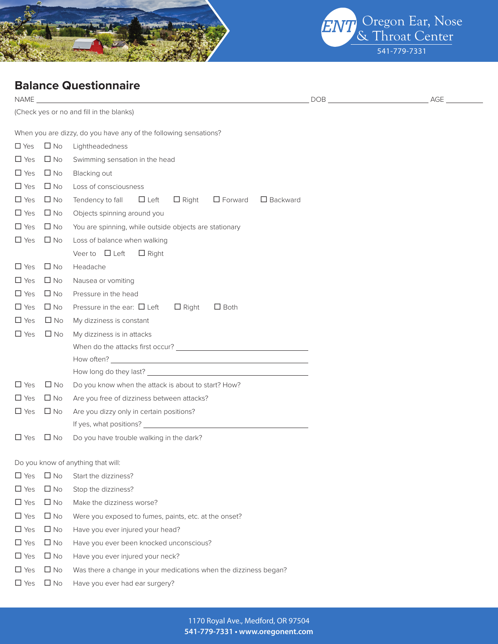



## **Balance Questionnaire**

| NAME          |                                              |                                                                                   | DOB and the contract of the contract of the contract of the contract of the contract of the contract of the contract of the contract of the contract of the contract of the contract of the contract of the contract of the co | AGE |  |  |  |  |
|---------------|----------------------------------------------|-----------------------------------------------------------------------------------|--------------------------------------------------------------------------------------------------------------------------------------------------------------------------------------------------------------------------------|-----|--|--|--|--|
|               |                                              | (Check yes or no and fill in the blanks)                                          |                                                                                                                                                                                                                                |     |  |  |  |  |
|               |                                              | When you are dizzy, do you have any of the following sensations?                  |                                                                                                                                                                                                                                |     |  |  |  |  |
| $\square$ Yes | $\Box$ No                                    | Lightheadedness                                                                   |                                                                                                                                                                                                                                |     |  |  |  |  |
| $\Box$ Yes    | $\Box$ No                                    | Swimming sensation in the head                                                    |                                                                                                                                                                                                                                |     |  |  |  |  |
| $\Box$ Yes    | $\square$ No                                 | Blacking out                                                                      |                                                                                                                                                                                                                                |     |  |  |  |  |
| $\Box$ Yes    | $\Box$ No                                    | Loss of consciousness                                                             |                                                                                                                                                                                                                                |     |  |  |  |  |
| $\Box$ Yes    | $\square$ No                                 | Tendency to fall $\Box$ Left<br>$\Box$ Right<br>$\Box$ Forward<br>$\Box$ Backward |                                                                                                                                                                                                                                |     |  |  |  |  |
| $\Box$ Yes    | $\square$ No                                 | Objects spinning around you                                                       |                                                                                                                                                                                                                                |     |  |  |  |  |
| $\Box$ Yes    | $\square$ No                                 | You are spinning, while outside objects are stationary                            |                                                                                                                                                                                                                                |     |  |  |  |  |
| $\Box$ Yes    | $\square$ No<br>Loss of balance when walking |                                                                                   |                                                                                                                                                                                                                                |     |  |  |  |  |
|               |                                              | Veer to $\Box$ Left<br>$\Box$ Right                                               |                                                                                                                                                                                                                                |     |  |  |  |  |
| $\Box$ Yes    | $\Box$ No                                    | Headache                                                                          |                                                                                                                                                                                                                                |     |  |  |  |  |
| $\Box$ Yes    | $\Box$ No                                    | Nausea or vomiting                                                                |                                                                                                                                                                                                                                |     |  |  |  |  |
| $\Box$ Yes    | $\Box$ No                                    | Pressure in the head                                                              |                                                                                                                                                                                                                                |     |  |  |  |  |
| $\Box$ Yes    | $\Box$ No                                    | Pressure in the ear: $\Box$ Left<br>$\Box$ Right<br>$\Box$ Both                   |                                                                                                                                                                                                                                |     |  |  |  |  |
| $\Box$ Yes    | $\Box$ No                                    | My dizziness is constant                                                          |                                                                                                                                                                                                                                |     |  |  |  |  |
| $\Box$ Yes    | $\Box$ No                                    | My dizziness is in attacks                                                        |                                                                                                                                                                                                                                |     |  |  |  |  |
|               |                                              |                                                                                   |                                                                                                                                                                                                                                |     |  |  |  |  |
|               |                                              |                                                                                   |                                                                                                                                                                                                                                |     |  |  |  |  |
|               |                                              |                                                                                   |                                                                                                                                                                                                                                |     |  |  |  |  |
| $\Box$ Yes    | $\square$ No                                 | Do you know when the attack is about to start? How?                               |                                                                                                                                                                                                                                |     |  |  |  |  |
| $\Box$ Yes    | $\square$ No                                 | Are you free of dizziness between attacks?                                        |                                                                                                                                                                                                                                |     |  |  |  |  |
| $\Box$ Yes    | $\Box$ No                                    | Are you dizzy only in certain positions?                                          |                                                                                                                                                                                                                                |     |  |  |  |  |
|               |                                              |                                                                                   |                                                                                                                                                                                                                                |     |  |  |  |  |
| $\Box$ Yes    | $\Box$ No                                    | Do you have trouble walking in the dark?                                          |                                                                                                                                                                                                                                |     |  |  |  |  |
|               |                                              | Do you know of anything that will:                                                |                                                                                                                                                                                                                                |     |  |  |  |  |
| $\Box$ Yes    | $\square$ No                                 | Start the dizziness?                                                              |                                                                                                                                                                                                                                |     |  |  |  |  |
| $\Box$ Yes    | $\Box$ No                                    | Stop the dizziness?                                                               |                                                                                                                                                                                                                                |     |  |  |  |  |
| $\Box$ Yes    | $\Box$ No                                    | Make the dizziness worse?                                                         |                                                                                                                                                                                                                                |     |  |  |  |  |
| $\Box$ Yes    | $\square$ No                                 | Were you exposed to fumes, paints, etc. at the onset?                             |                                                                                                                                                                                                                                |     |  |  |  |  |
| $\Box$ Yes    | $\Box$ No                                    | Have you ever injured your head?                                                  |                                                                                                                                                                                                                                |     |  |  |  |  |
| $\Box$ Yes    | $\Box$ No                                    | Have you ever been knocked unconscious?                                           |                                                                                                                                                                                                                                |     |  |  |  |  |
| $\square$ Yes | $\square$ No                                 | Have you ever injured your neck?                                                  |                                                                                                                                                                                                                                |     |  |  |  |  |
| $\Box$ Yes    | $\square$ No                                 | Was there a change in your medications when the dizziness began?                  |                                                                                                                                                                                                                                |     |  |  |  |  |
| $\Box$ Yes    | $\Box$ No                                    | Have you ever had ear surgery?                                                    |                                                                                                                                                                                                                                |     |  |  |  |  |